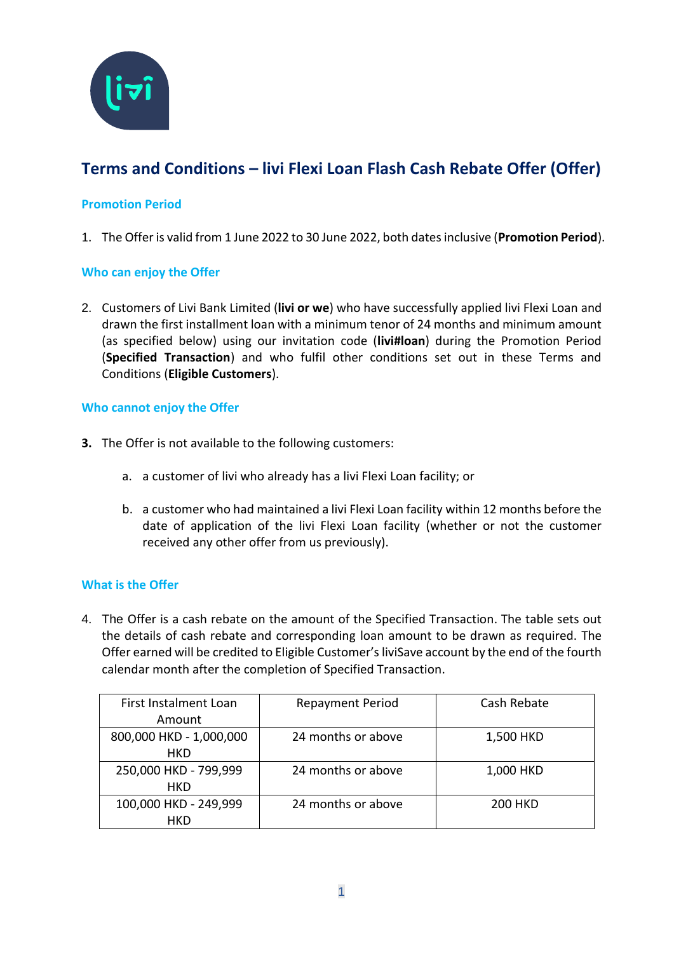

# **Terms and Conditions – livi Flexi Loan Flash Cash Rebate Offer (Offer)**

## **Promotion Period**

1. The Offer is valid from 1 June 2022 to 30 June 2022, both dates inclusive (**Promotion Period**).

## **Who can enjoy the Offer**

2. Customers of Livi Bank Limited (**livi or we**) who have successfully applied livi Flexi Loan and drawn the first installment loan with a minimum tenor of 24 months and minimum amount (as specified below) using our invitation code (**livi#loan**) during the Promotion Period (**Specified Transaction**) and who fulfil other conditions set out in these Terms and Conditions (**Eligible Customers**).

#### **Who cannot enjoy the Offer**

- **3.** The Offer is not available to the following customers:
	- a. a customer of livi who already has a livi Flexi Loan facility; or
	- b. a customer who had maintained a livi Flexi Loan facility within 12 months before the date of application of the livi Flexi Loan facility (whether or not the customer received any other offer from us previously).

#### **What is the Offer**

4. The Offer is a cash rebate on the amount of the Specified Transaction. The table sets out the details of cash rebate and corresponding loan amount to be drawn as required. The Offer earned will be credited to Eligible Customer's liviSave account by the end of the fourth calendar month after the completion of Specified Transaction.

| First Instalment Loan   | <b>Repayment Period</b> | Cash Rebate    |
|-------------------------|-------------------------|----------------|
| Amount                  |                         |                |
| 800,000 HKD - 1,000,000 | 24 months or above      | 1,500 HKD      |
| <b>HKD</b>              |                         |                |
| 250,000 HKD - 799,999   | 24 months or above      | 1,000 HKD      |
| <b>HKD</b>              |                         |                |
| 100,000 HKD - 249,999   | 24 months or above      | <b>200 HKD</b> |
| HKD                     |                         |                |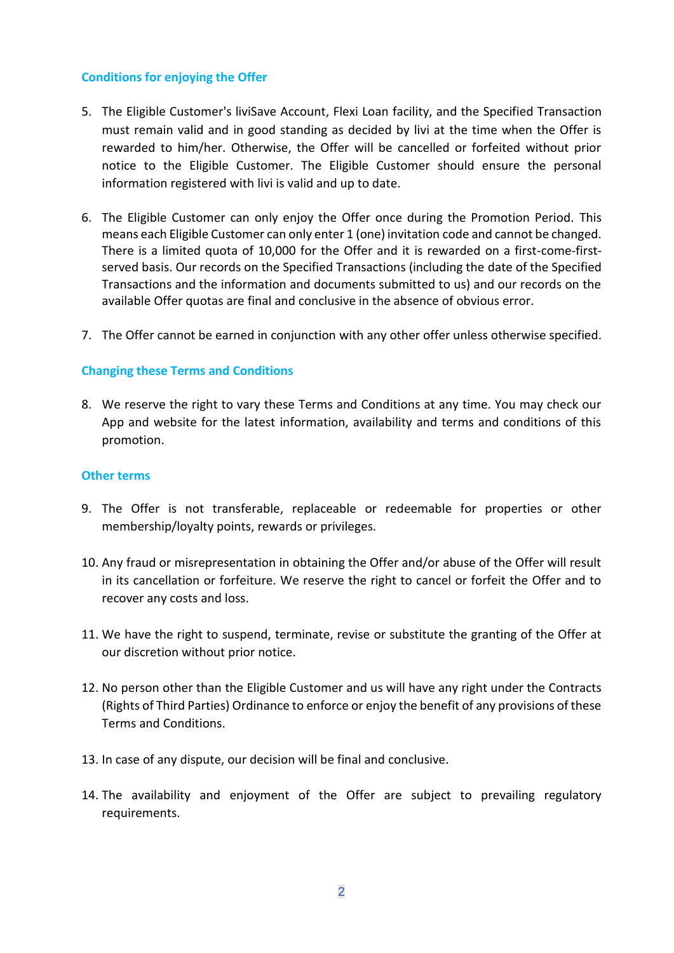#### **Conditions for enjoying the Offer**

- 5. The Eligible Customer's liviSave Account, Flexi Loan facility, and the Specified Transaction must remain valid and in good standing as decided by livi at the time when the Offer is rewarded to him/her. Otherwise, the Offer will be cancelled or forfeited without prior notice to the Eligible Customer. The Eligible Customer should ensure the personal information registered with livi is valid and up to date.
- 6. The Eligible Customer can only enjoy the Offer once during the Promotion Period. This means each Eligible Customer can only enter 1 (one) invitation code and cannot be changed. There is a limited quota of 10,000 for the Offer and it is rewarded on a first-come-firstserved basis. Our records on the Specified Transactions (including the date of the Specified Transactions and the information and documents submitted to us) and our records on the available Offer quotas are final and conclusive in the absence of obvious error.
- 7. The Offer cannot be earned in conjunction with any other offer unless otherwise specified.

### **Changing these Terms and Conditions**

8. We reserve the right to vary these Terms and Conditions at any time. You may check our App and website for the latest information, availability and terms and conditions of this promotion.

#### **Other terms**

- 9. The Offer is not transferable, replaceable or redeemable for properties or other membership/loyalty points, rewards or privileges.
- 10. Any fraud or misrepresentation in obtaining the Offer and/or abuse of the Offer will result in its cancellation or forfeiture. We reserve the right to cancel or forfeit the Offer and to recover any costs and loss.
- 11. We have the right to suspend, terminate, revise or substitute the granting of the Offer at our discretion without prior notice.
- 12. No person other than the Eligible Customer and us will have any right under the Contracts (Rights of Third Parties) Ordinance to enforce or enjoy the benefit of any provisions of these Terms and Conditions.
- 13. In case of any dispute, our decision will be final and conclusive.
- 14. The availability and enjoyment of the Offer are subject to prevailing regulatory requirements.